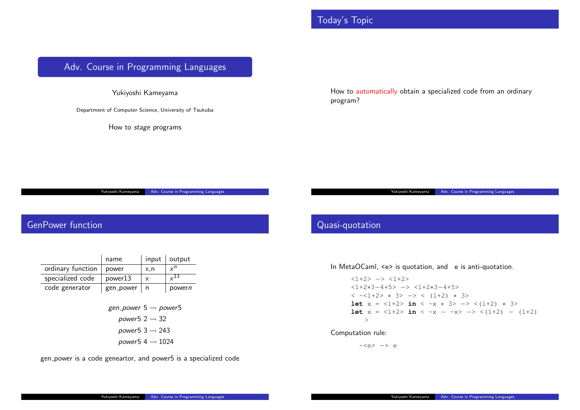## Today's Topic

# <span id="page-0-0"></span>Adv. Course in Programming Languages

Yukiyoshi Kameyama

Department of Computer Science, University of Tsukuba

How to *stage* programs

How to automatically obtain program?

oshi Kameyama Adv. Course in Programming Language

## GenPower function

|                   | name      | input | $\vert$ output |
|-------------------|-----------|-------|----------------|
| ordinary function | power     | x,n   | $x^n$          |
| specialized code  | power13   |       | $\times$ 13    |
| code generator    | gen_power |       | powern         |

*gen power* 5 ⇝ *power*5 *power*5 2 ⇝ 32 *power*5 3 ⇝ 243 *power*5 4 ⇝ 1024

gen power is a code geneartor, and power5 is a specialized code

#### Quasi-quotation

#### In MetaOCaml, <e> is quotat

<1+2> *−*> <1+2> <1+2*∗*3*−*4+5> *−*> <1+2*∗*3*−*4+5> < ~<1+2> *∗* 3> *−*> < (1+2) *∗* 3> **let**  $x = 1+2$  *in* 3 **let** x = <1+2> **in**  $\cdot$ >

Yukiyoshi Ka

#### Computation rule:

~<e> *−*> e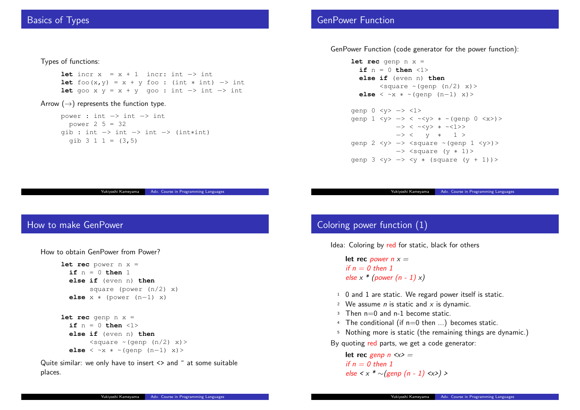### Basics of Types

#### Types of functions:

**let** incr x = x + 1 incr: int *−*> int **let** foo(x,y) = x + y foo : (int *∗* int) *−*> int **let** goo x y = x + y goo : int *−*> int *−*> int

#### Arrow (*→*) represents the function type.

power : int *−*> int *−*> int power 2 5 = 32 gib : int *−*> int *−*> int *−*> (int*∗*int) gib  $3 \ 1 \ 1 = (3, 5)$ 

#### GenPower Function

#### GenPower Function (code gene

```
let rec genp n x =
  if n = 0 then <1else if (even n
         \leqsquare \sim (\leqelse < ~x * ~(general)
genp 0 <y> −> <1>
genp 1 <y> -> < ∗
               → > < ~\sim→ > ~ ~ < ~ \frac{1}{2}genp 2 <y> -> <sq
               → <sq
genp 3 <y> −> <y ∗ (square (y + 1))>
```
Yukiyoshi Ka

Adv. Course in Programming Languag

## How to make GenPower

How to obtain GenPower from Power?

```
let rec power n x =
  if n = 0 then 1
  else if (even n) then
        square (power (n/2) x)
  else x ∗ (power (n−1) x)
let rec genp n x =
  if n = 0 then \langle 1 \rangleelse if (even n) then
        \langle \text{square} \rangle \sim (\text{genp} (n/2) x)else < ~x ∗ ~(genp (n−1) x)>
```
Quite similar: we only have to insert  $\leq$  and  $\leq$  at some suitable places.

# Coloring power function (1)

Idea: Coloring by red for stat

```
let rec power n x =
if n = 0 then 1
else x * (power (n - 1) x)
```
- $1$  0 and 1 are static. We regard power
- <sup>2</sup> We assume *n* is static are
- $3$  Then  $n=0$  and  $n-1$  become
- $4$  The conditional (if  $n=0$
- 5 Nothing more is static (the remaining the remaining the remaining  $(1 + \frac{1}{2})$

By quoting red parts, we get

**let rec** *genp*  $n \le x$  = *if n = 0 then 1 else < x \* ∼(genp (n - 1) <x>) >*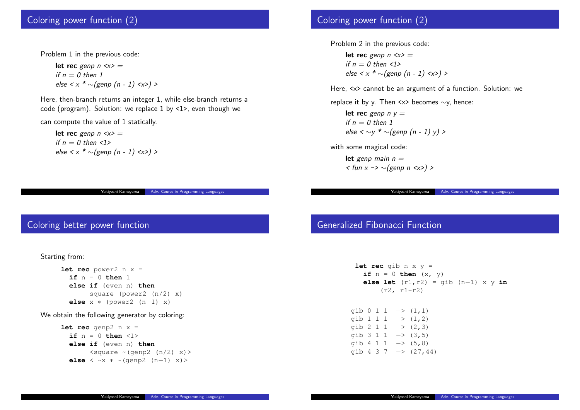#### Coloring power function (2)

Problem 1 in the previous code:

**let rec** *genp n <x> = if n = 0 then 1 else < x \* ∼(genp (n - 1) <x>) >*

Here, then-branch returns an integer 1, while else-branch returns a code (program). Solution: we replace 1 by <1>, even though we

can compute the value of 1 statically.

**let rec** *genp n <x> = if*  $n = 0$  *then*  $\langle 1 \rangle$ *else < x \* ∼(genp (n - 1) <x>) >*

Adv. Course in Program

#### Coloring better power function

Starting from:

**let rec** power2 n [x =](#page-0-0) **if** n = 0 **then** 1 **else if** (even n) **then** square (power2 (n/2) x) **else** x *∗* (power2 (n*−*1) x)

We obtain the following generator by coloring:

```
let rec genp2 n x =if n = 0 then \langle 1 \rangleelse if (even n) then
         \langle \text{square} \rangle \sim (\text{genp2} (n/2) x)else < ~x ∗ ~(genp2 (n−1) x)>
```
## Coloring power function (2)

Problem 2 in the previous code:

**let rec** *genp*  $n \le x$  = *if n = 0 then <1> else < x \* ∼(genp (n - 1) <x>) >*

Here,  $\langle x \rangle$  cannot be an argum

replace it by y. Then <x> bec

**let rec** *genp n y = if n = 0 then 1 else* < ∼*y*  $*$  ~ (genp (n -

with some magical code:

**let** *genp\_main*  $n =$ *< fun x -> ∼(genp n <x>) >*

Yukiyoshi Kamey

#### Generalized Fibonacci Fun

| let rec qib n x y   |                     |  |
|---------------------|---------------------|--|
| if $n = 0$ then     |                     |  |
| else let $(r1, r1)$ |                     |  |
| $(r2, r1+r2)$       |                     |  |
|                     |                     |  |
|                     |                     |  |
| gib 0 1 1           | $\rightarrow$ $(1,$ |  |
| gib 1 1 1           | $\rightarrow (1,$   |  |
| gib 2 1 1           | $\Rightarrow$ (2,   |  |
| qib 3 1 1           | $\Rightarrow$ (3,   |  |
| qib 4 1 1           | $\Rightarrow$ (5,   |  |
|                     |                     |  |
| qib 4 3 7           | $\Rightarrow$ (27)  |  |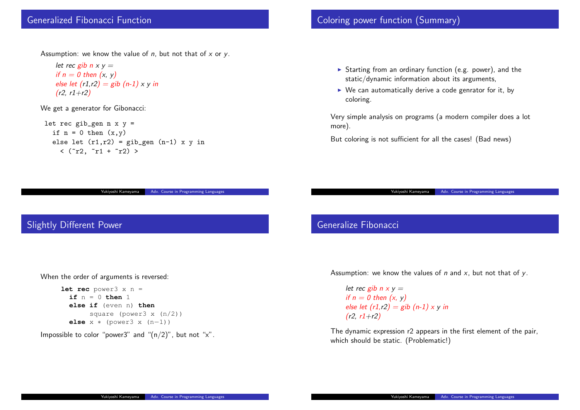#### Generalized Fibonacci Function

Assumption: we know the value of *n*, but not that of *x* or *y*.

*let rec*  $gib \, n \times y =$ *if n = 0 then (x, y) else let (r1,r2) = gib (n-1) x y in (r2, r1+r2)*

We get a generator for Gibonacci:

let rec gib\_gen  $n \times y =$ if  $n = 0$  then  $(x, y)$ else let  $(r1, r2) = gib\_gen (n-1) x y in$  $\langle$  ( $r2, r1 + r2 \rangle$ )

oshi Kameyama Adv. Course in Programming Languag

## Slightly Different Power

When the order of argument[s is reversed:](#page-0-0)

```
let rec power3 x n =
 if n = 0 then 1
 else if (even n) then
       square (power3 x (n/2))
 else x ∗ (power3 x (n−1))
```
Impossible to color "power3" and " $(n/2)$ ", but not "x".

## Coloring power function (S

- $\blacktriangleright$  Starting from an ordinar  $static/dy$ namic information about its arguments, and  $s$
- $\blacktriangleright$  We can automatically de coloring.

Very simple analysis on progr more).

But coloring is not sufficient

Yukiyoshi K

### Generalize Fibonacci

Assumption: we know the value

*let rec gib*  $n \times y =$ *if n = 0 then (x, y) else let (r1,r2) = gib (n-(r2, r1+r2)*

The dynamic expression r2 ap which should be static. (Prob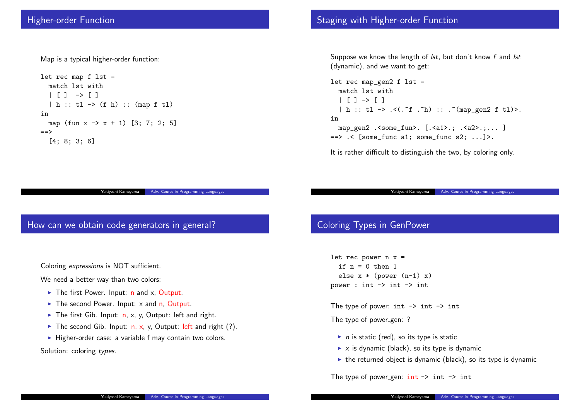#### Higher-order Function

Map is a typical higher-order function:

```
let rec map f lst =
  match lst with
  | [ ] \rightarrow [ ]| h :: tl -> (f h) :: (map f tl)
in
  map (fun x \rightarrow x + 1) [3; 7; 2; 5]
==>
  [4; 8; 3; 6]
```
Yukiyoshi Kameyama | Adv. Course in Programming Languages

#### How can we obtain code generators in general?

Coloring *expressions* is NOT [sufficient.](#page-0-0)

We need a better way than two colors:

- $\blacktriangleright$  The first Power. Input: n and x, Output.
- $\blacktriangleright$  The second Power. Input: x and n, Output.
- ▶ The first Gib. Input: n, x, y, Output: left and right.
- $\blacktriangleright$  The second Gib. Input: n, x, y, Output: left and right (?).
- ▶ Higher-order case: a variable f may contain two colors.

Solution: coloring *types*.

### Staging with Higher-order

Suppose we know the length  $(dynamic)$ , and we want to g

```
let rec map_gen2 f lst
  match lst with
  | [ ] \rightarrow [ ]| h :: tl -> .<(. "f .
in
  map_gen2 .<some_fun>.
\Rightarrow .< [some_func a1; some
```
It is rather difficult to disting

Yukiyoshi Ka

## Coloring Types in GenPow

let rec power  $n x =$ if  $n = 0$  then 1 else  $x * (power (n-1))$ power : int -> int -> int

The type of power:  $int \rightarrow$ The type of power\_gen: ?

- $\blacktriangleright$  *n* is static (red), so its ty
- $\blacktriangleright$  *x* is dynamic (black), so
- $\blacktriangleright$  the returned object is dy

The type of power gen:  $\text{int}$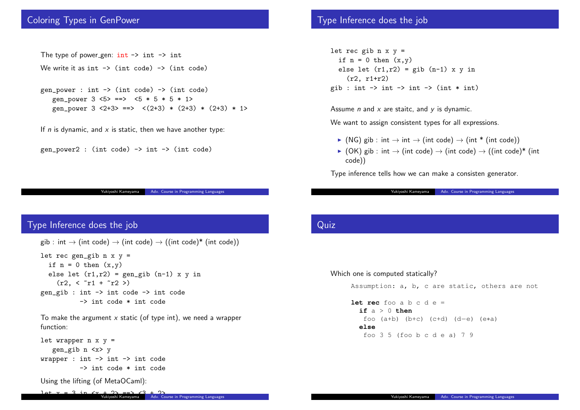#### Coloring Types in GenPower

The type of power gen:  $int \rightarrow int \rightarrow int$ We write it as  $int \rightarrow (int \ code) \rightarrow (int \ code)$ gen\_power : int -> (int code) -> (int code) gen\_power  $3 \le 5$  ==>  $\le 5 * 5 * 5 * 1$ > gen\_power  $3 \le 2+3$  ==>  $\le (2+3) * (2+3) * (2+3) * 1$ If *n* is dynamic, and *x* is static, then we have another type: gen\_power2 : (int code)  $\rightarrow$  int  $\rightarrow$  (int code)

Yukiyoshi Kameyama | Adv. Course in Programming Languages

#### Type Inference does the job

```
gib : int \rightarrow (int code) \rightarrow (int code) \rightarrow ((int code)<sup>*</sup> (int code))
```

```
let rec gen_gib n \times y =if n = 0 then (x,y)else let (r1,r2) = gen_gib (n-1) x y in
    (r2, < r1 + r2 >)gen_gib : int -> int code -> int code
          -> int code * int code
```
To make the argument *x* static (of type int), we need a wrapper function:

```
let wrapper n \times y =gen_gib n <x> y
wrapper : int -> int -> int code
          -> int code * int code
```
Using the lifting (of MetaOCaml):

### Type Inference does the jo

let rec gib  $n \times y =$ if  $n = 0$  then  $(x,y)$ else let  $(r1, r2) = g1$ (r2, r1+r2) gib : int  $\rightarrow$  int  $\rightarrow$  int

Assume *n* and *x* are staitc, and

We want to assign consistent

- $\triangleright$  (NG) gib : int  $\rightarrow$  int  $\rightarrow$
- ▶ (OK) gib : int *→* (int code) *→* (int code) *→* ((int code)\* (int code))

Type inference tells how we constand

Yukiyoshi Kamey

### Quiz

#### Which one is computed station

```
Assumption: a, b, c
```

```
let rec foo a b c
  if a > 0 then
   foo (a<sup>+</sup>b) (b+c
  else
   foo 3\,5 (foo b
```